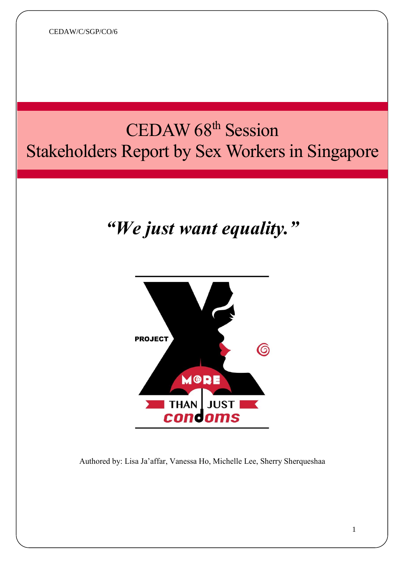CEDAW/C/SGP/CO/6

# CEDAW 68<sup>th</sup> Session Stakeholders Report by Sex Workers in Singapore

# *"We just want equality."*



Authored by: Lisa Ja'affar, Vanessa Ho, Michelle Lee, Sherry Sherqueshaa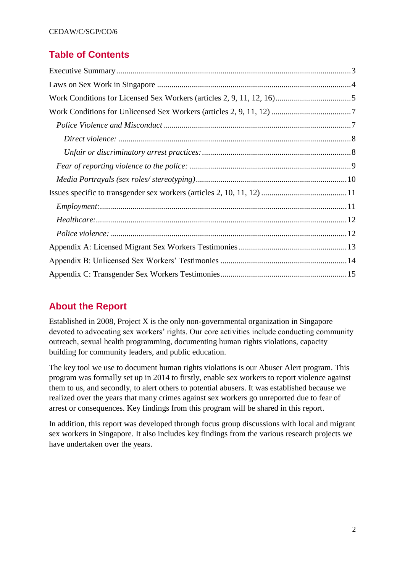# **Table of Contents**

# **About the Report**

Established in 2008, Project X is the only non-governmental organization in Singapore devoted to advocating sex workers' rights. Our core activities include conducting community outreach, sexual health programming, documenting human rights violations, capacity building for community leaders, and public education.

The key tool we use to document human rights violations is our Abuser Alert program. This program was formally set up in 2014 to firstly, enable sex workers to report violence against them to us, and secondly, to alert others to potential abusers. It was established because we realized over the years that many crimes against sex workers go unreported due to fear of arrest or consequences. Key findings from this program will be shared in this report.

In addition, this report was developed through focus group discussions with local and migrant sex workers in Singapore. It also includes key findings from the various research projects we have undertaken over the years.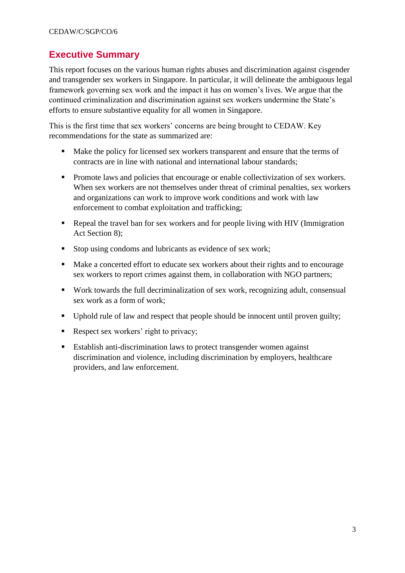# <span id="page-2-0"></span>**Executive Summary**

This report focuses on the various human rights abuses and discrimination against cisgender and transgender sex workers in Singapore. In particular, it will delineate the ambiguous legal framework governing sex work and the impact it has on women's lives. We argue that the continued criminalization and discrimination against sex workers undermine the State's efforts to ensure substantive equality for all women in Singapore.

This is the first time that sex workers' concerns are being brought to CEDAW. Key recommendations for the state as summarized are:

- Make the policy for licensed sex workers transparent and ensure that the terms of contracts are in line with national and international labour standards;
- **Promote laws and policies that encourage or enable collectivization of sex workers.** When sex workers are not themselves under threat of criminal penalties, sex workers and organizations can work to improve work conditions and work with law enforcement to combat exploitation and trafficking;
- Repeal the travel ban for sex workers and for people living with HIV (Immigration Act Section 8);
- Stop using condoms and lubricants as evidence of sex work;
- Make a concerted effort to educate sex workers about their rights and to encourage sex workers to report crimes against them, in collaboration with NGO partners;
- Work towards the full decriminalization of sex work, recognizing adult, consensual sex work as a form of work;
- Uphold rule of law and respect that people should be innocent until proven guilty;
- Respect sex workers' right to privacy;
- Establish anti-discrimination laws to protect transgender women against discrimination and violence, including discrimination by employers, healthcare providers, and law enforcement.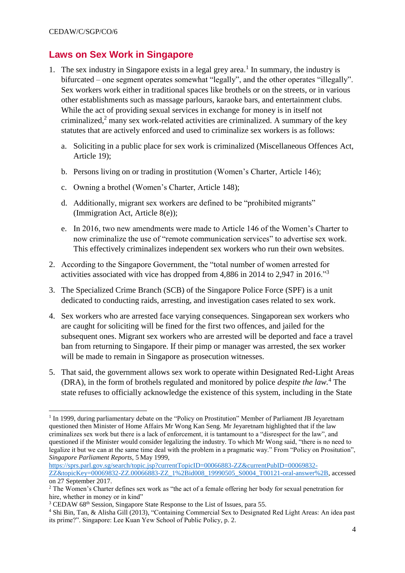**.** 

# <span id="page-3-0"></span>**Laws on Sex Work in Singapore**

- 1. The sex industry in Singapore exists in a legal grey area.<sup>1</sup> In summary, the industry is bifurcated – one segment operates somewhat "legally", and the other operates "illegally". Sex workers work either in traditional spaces like brothels or on the streets, or in various other establishments such as massage parlours, karaoke bars, and entertainment clubs. While the act of providing sexual services in exchange for money is in itself not criminalized, $2$  many sex work-related activities are criminalized. A summary of the key statutes that are actively enforced and used to criminalize sex workers is as follows:
	- a. Soliciting in a public place for sex work is criminalized (Miscellaneous Offences Act, Article 19);
	- b. Persons living on or trading in prostitution (Women's Charter, Article 146);
	- c. Owning a brothel (Women's Charter, Article 148);
	- d. Additionally, migrant sex workers are defined to be "prohibited migrants" (Immigration Act, Article 8(e));
	- e. In 2016, two new amendments were made to Article 146 of the Women's Charter to now criminalize the use of "remote communication services" to advertise sex work. This effectively criminalizes independent sex workers who run their own websites.
- 2. According to the Singapore Government, the "total number of women arrested for activities associated with vice has dropped from 4,886 in 2014 to 2,947 in 2016."<sup>3</sup>
- 3. The Specialized Crime Branch (SCB) of the Singapore Police Force (SPF) is a unit dedicated to conducting raids, arresting, and investigation cases related to sex work.
- 4. Sex workers who are arrested face varying consequences. Singaporean sex workers who are caught for soliciting will be fined for the first two offences, and jailed for the subsequent ones. Migrant sex workers who are arrested will be deported and face a travel ban from returning to Singapore. If their pimp or manager was arrested, the sex worker will be made to remain in Singapore as prosecution witnesses.
- 5. That said, the government allows sex work to operate within Designated Red-Light Areas (DRA), in the form of brothels regulated and monitored by police *despite the law.*<sup>4</sup> The state refuses to officially acknowledge the existence of this system, including in the State

[https://sprs.parl.gov.sg/search/topic.jsp?currentTopicID=00066883-ZZ&currentPubID=00069832-](https://sprs.parl.gov.sg/search/topic.jsp?currentTopicID=00066883-ZZ¤tPubID=00069832-ZZ&topicKey=00069832-ZZ.00066883-ZZ_1%2Bid008_19990505_S0004_T00121-oral-answer%2B) [ZZ&topicKey=00069832-ZZ.00066883-ZZ\\_1%2Bid008\\_19990505\\_S0004\\_T00121-oral-answer%2B,](https://sprs.parl.gov.sg/search/topic.jsp?currentTopicID=00066883-ZZ¤tPubID=00069832-ZZ&topicKey=00069832-ZZ.00066883-ZZ_1%2Bid008_19990505_S0004_T00121-oral-answer%2B) accessed on 27 September 2017.

<sup>&</sup>lt;sup>1</sup> In 1999, during parliamentary debate on the "Policy on Prostitution" Member of Parliament JB Jeyaretnam questioned then Minister of Home Affairs Mr Wong Kan Seng. Mr Jeyaretnam highlighted that if the law criminalizes sex work but there is a lack of enforcement, it is tantamount to a "disrespect for the law", and questioned if the Minister would consider legalizing the industry. To which Mr Wong said, "there is no need to legalize it but we can at the same time deal with the problem in a pragmatic way." From "Policy on Prositution", *Singapore Parliament Reports,* 5 May 1999,

<sup>2</sup> The Women's Charter defines sex work as "the act of a female offering her body for sexual penetration for hire, whether in money or in kind"

<sup>&</sup>lt;sup>3</sup> CEDAW 68<sup>th</sup> Session, Singapore State Response to the List of Issues, para 55.

<sup>4</sup> Shi Bin, Tan, & Alisha Gill (2013), "Containing Commercial Sex to Designated Red Light Areas: An idea past its prime?". Singapore: Lee Kuan Yew School of Public Policy, p. 2.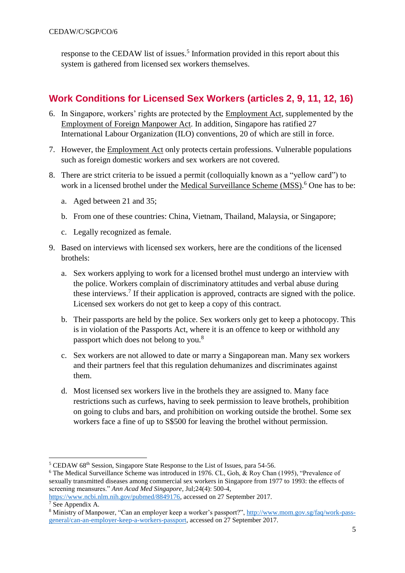response to the CEDAW list of issues.<sup>5</sup> Information provided in this report about this system is gathered from licensed sex workers themselves.

# <span id="page-4-0"></span>**Work Conditions for Licensed Sex Workers (articles 2, 9, 11, 12, 16)**

- 6. In Singapore, workers' rights are protected by the Employment Act, supplemented by the Employment of Foreign Manpower Act. In addition, Singapore has ratified 27 International Labour Organization (ILO) conventions, 20 of which are still in force.
- 7. However, the Employment Act only protects certain professions. Vulnerable populations such as foreign domestic workers and sex workers are not covered.
- 8. There are strict criteria to be issued a permit (colloquially known as a "yellow card") to work in a licensed brothel under the Medical Surveillance Scheme (MSS).<sup>6</sup> One has to be:
	- a. Aged between 21 and 35;
	- b. From one of these countries: China, Vietnam, Thailand, Malaysia, or Singapore;
	- c. Legally recognized as female.
- 9. Based on interviews with licensed sex workers, here are the conditions of the licensed brothels:
	- a. Sex workers applying to work for a licensed brothel must undergo an interview with the police. Workers complain of discriminatory attitudes and verbal abuse during these interviews.<sup>7</sup> If their application is approved, contracts are signed with the police. Licensed sex workers do not get to keep a copy of this contract.
	- b. Their passports are held by the police. Sex workers only get to keep a photocopy. This is in violation of the Passports Act, where it is an offence to keep or withhold any passport which does not belong to you.<sup>8</sup>
	- c. Sex workers are not allowed to date or marry a Singaporean man. Many sex workers and their partners feel that this regulation dehumanizes and discriminates against them.
	- d. Most licensed sex workers live in the brothels they are assigned to. Many face restrictions such as curfews, having to seek permission to leave brothels, prohibition on going to clubs and bars, and prohibition on working outside the brothel. Some sex workers face a fine of up to S\$500 for leaving the brothel without permission.

 $6$  The Medical Surveillance Scheme was introduced in 1976. CL, Goh,  $\&$  Roy Chan (1995), "Prevalence of sexually transmitted diseases among commercial sex workers in Singapore from 1977 to 1993: the effects of screening meansures." *Ann Acad Med Singapore,* Jul;24(4): 500-4,

```
https://www.ncbi.nlm.nih.gov/pubmed/8849176, accessed on 27 September 2017.
```
1

<sup>&</sup>lt;sup>5</sup> CEDAW 68<sup>th</sup> Session, Singapore State Response to the List of Issues, para 54-56.

<sup>7</sup> See Appendix A.

<sup>8</sup> Ministry of Manpower, "Can an employer keep a worker's passport?"[, http://www.mom.gov.sg/faq/work-pass](http://www.mom.gov.sg/faq/work-pass-general/can-an-employer-keep-a-workers-passport)[general/can-an-employer-keep-a-workers-passport,](http://www.mom.gov.sg/faq/work-pass-general/can-an-employer-keep-a-workers-passport) accessed on 27 September 2017.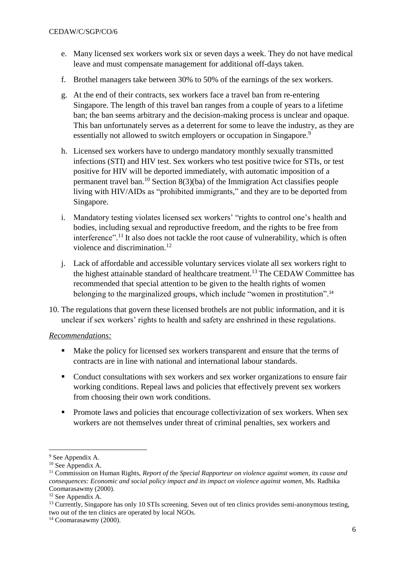- e. Many licensed sex workers work six or seven days a week. They do not have medical leave and must compensate management for additional off-days taken.
- f. Brothel managers take between 30% to 50% of the earnings of the sex workers.
- g. At the end of their contracts, sex workers face a travel ban from re-entering Singapore. The length of this travel ban ranges from a couple of years to a lifetime ban; the ban seems arbitrary and the decision-making process is unclear and opaque. This ban unfortunately serves as a deterrent for some to leave the industry, as they are essentially not allowed to switch employers or occupation in Singapore.<sup>9</sup>
- h. Licensed sex workers have to undergo mandatory monthly sexually transmitted infections (STI) and HIV test. Sex workers who test positive twice for STIs, or test positive for HIV will be deported immediately, with automatic imposition of a permanent travel ban. <sup>10</sup> Section 8(3)(ba) of the Immigration Act classifies people living with HIV/AIDs as "prohibited immigrants," and they are to be deported from Singapore.
- i. Mandatory testing violates licensed sex workers' "rights to control one's health and bodies, including sexual and reproductive freedom, and the rights to be free from interference". <sup>11</sup> It also does not tackle the root cause of vulnerability, which is often violence and discrimination.<sup>12</sup>
- j. Lack of affordable and accessible voluntary services violate all sex workers right to the highest attainable standard of healthcare treatment.<sup>13</sup> The CEDAW Committee has recommended that special attention to be given to the health rights of women belonging to the marginalized groups, which include "women in prostitution".<sup>14</sup>
- 10. The regulations that govern these licensed brothels are not public information, and it is unclear if sex workers' rights to health and safety are enshrined in these regulations.

#### *Recommendations:*

- Make the policy for licensed sex workers transparent and ensure that the terms of contracts are in line with national and international labour standards.
- Conduct consultations with sex workers and sex worker organizations to ensure fair working conditions. Repeal laws and policies that effectively prevent sex workers from choosing their own work conditions.
- Promote laws and policies that encourage collectivization of sex workers. When sex workers are not themselves under threat of criminal penalties, sex workers and

 $\overline{a}$ 

<sup>&</sup>lt;sup>9</sup> See Appendix A.

<sup>&</sup>lt;sup>10</sup> See Appendix A.

<sup>11</sup> Commission on Human Rights, *Report of the Special Rapporteur on violence against women, its cause and consequences: Economic and social policy impact and its impact on violence against women*, Ms. Radhika Coomarasawmy (2000).

<sup>&</sup>lt;sup>12</sup> See Appendix A.

<sup>&</sup>lt;sup>13</sup> Currently, Singapore has only 10 STIs screening. Seven out of ten clinics provides semi-anonymous testing, two out of the ten clinics are operated by local NGOs.

 $14$  Coomarasawmy (2000).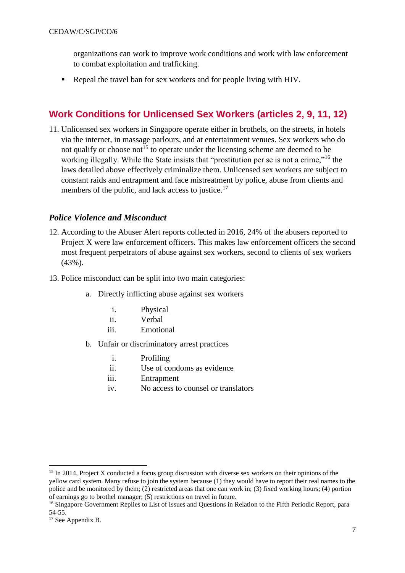organizations can work to improve work conditions and work with law enforcement to combat exploitation and trafficking.

Repeal the travel ban for sex workers and for people living with HIV.

# <span id="page-6-0"></span>**Work Conditions for Unlicensed Sex Workers (articles 2, 9, 11, 12)**

11. Unlicensed sex workers in Singapore operate either in brothels, on the streets, in hotels via the internet, in massage parlours, and at entertainment venues. Sex workers who do not qualify or choose not<sup>15</sup> to operate under the licensing scheme are deemed to be working illegally. While the State insists that "prostitution per se is not a crime,"<sup>16</sup> the laws detailed above effectively criminalize them. Unlicensed sex workers are subject to constant raids and entrapment and face mistreatment by police, abuse from clients and members of the public, and lack access to justice.<sup>17</sup>

## <span id="page-6-1"></span>*Police Violence and Misconduct*

- 12. According to the Abuser Alert reports collected in 2016, 24% of the abusers reported to Project X were law enforcement officers. This makes law enforcement officers the second most frequent perpetrators of abuse against sex workers, second to clients of sex workers (43%).
- 13. Police misconduct can be split into two main categories:
	- a. Directly inflicting abuse against sex workers
		- i. Physical
		- ii. Verbal
		- iii. Emotional
	- b. Unfair or discriminatory arrest practices
		- i. Profiling
		- ii. Use of condoms as evidence
		- iii. Entrapment
		- iv. No access to counsel or translators

<sup>&</sup>lt;sup>15</sup> In 2014, Project X conducted a focus group discussion with diverse sex workers on their opinions of the yellow card system. Many refuse to join the system because (1) they would have to report their real names to the police and be monitored by them; (2) restricted areas that one can work in; (3) fixed working hours; (4) portion of earnings go to brothel manager; (5) restrictions on travel in future.

<sup>&</sup>lt;sup>16</sup> Singapore Government Replies to List of Issues and Questions in Relation to the Fifth Periodic Report, para 54-55.

<sup>&</sup>lt;sup>17</sup> See Appendix B.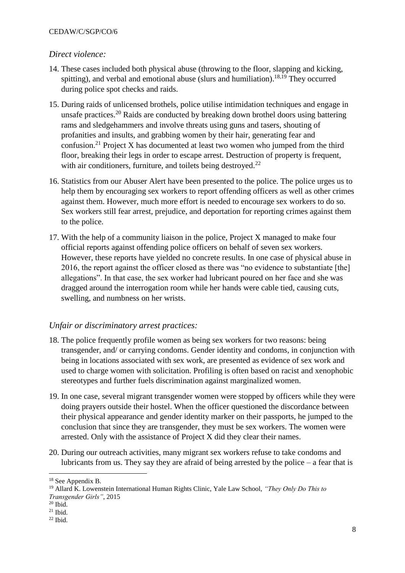#### CEDAW/C/SGP/CO/6

## <span id="page-7-0"></span>*Direct violence:*

- 14. These cases included both physical abuse (throwing to the floor, slapping and kicking, spitting), and verbal and emotional abuse (slurs and humiliation).<sup>18,19</sup> They occurred during police spot checks and raids.
- 15. During raids of unlicensed brothels, police utilise intimidation techniques and engage in unsafe practices.<sup>20</sup> Raids are conducted by breaking down brothel doors using battering rams and sledgehammers and involve threats using guns and tasers, shouting of profanities and insults, and grabbing women by their hair, generating fear and confusion.<sup>21</sup> Project X has documented at least two women who jumped from the third floor, breaking their legs in order to escape arrest. Destruction of property is frequent, with air conditioners, furniture, and toilets being destroyed.<sup>22</sup>
- 16. Statistics from our Abuser Alert have been presented to the police. The police urges us to help them by encouraging sex workers to report offending officers as well as other crimes against them. However, much more effort is needed to encourage sex workers to do so. Sex workers still fear arrest, prejudice, and deportation for reporting crimes against them to the police.
- 17. With the help of a community liaison in the police, Project X managed to make four official reports against offending police officers on behalf of seven sex workers. However, these reports have yielded no concrete results. In one case of physical abuse in 2016, the report against the officer closed as there was "no evidence to substantiate [the] allegations". In that case, the sex worker had lubricant poured on her face and she was dragged around the interrogation room while her hands were cable tied, causing cuts, swelling, and numbness on her wrists.

## <span id="page-7-1"></span>*Unfair or discriminatory arrest practices:*

- 18. The police frequently profile women as being sex workers for two reasons: being transgender, and/ or carrying condoms. Gender identity and condoms, in conjunction with being in locations associated with sex work, are presented as evidence of sex work and used to charge women with solicitation. Profiling is often based on racist and xenophobic stereotypes and further fuels discrimination against marginalized women.
- 19. In one case, several migrant transgender women were stopped by officers while they were doing prayers outside their hostel. When the officer questioned the discordance between their physical appearance and gender identity marker on their passports, he jumped to the conclusion that since they are transgender, they must be sex workers. The women were arrested. Only with the assistance of Project X did they clear their names.
- 20. During our outreach activities, many migrant sex workers refuse to take condoms and lubricants from us. They say they are afraid of being arrested by the police  $-$  a fear that is

 $20$  Ibid.

<sup>18</sup> See Appendix B.

<sup>19</sup> Allard K. Lowenstein International Human Rights Clinic, Yale Law School, *"They Only Do This to Transgender Girls"*, 2015

 $21$  Ibid.

 $22$  Ibid.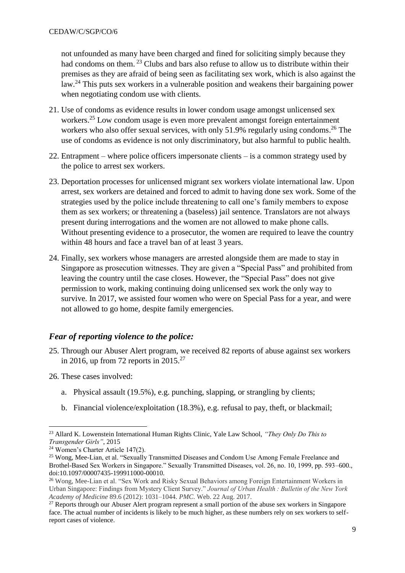not unfounded as many have been charged and fined for soliciting simply because they had condoms on them. <sup>23</sup> Clubs and bars also refuse to allow us to distribute within their premises as they are afraid of being seen as facilitating sex work, which is also against the law.<sup>24</sup> This puts sex workers in a vulnerable position and weakens their bargaining power when negotiating condom use with clients.

- 21. Use of condoms as evidence results in lower condom usage amongst unlicensed sex workers.<sup>25</sup> Low condom usage is even more prevalent amongst foreign entertainment workers who also offer sexual services, with only 51.9% regularly using condoms.<sup>26</sup> The use of condoms as evidence is not only discriminatory, but also harmful to public health.
- 22. Entrapment where police officers impersonate clients is a common strategy used by the police to arrest sex workers.
- 23. Deportation processes for unlicensed migrant sex workers violate international law. Upon arrest, sex workers are detained and forced to admit to having done sex work. Some of the strategies used by the police include threatening to call one's family members to expose them as sex workers; or threatening a (baseless) jail sentence. Translators are not always present during interrogations and the women are not allowed to make phone calls. Without presenting evidence to a prosecutor, the women are required to leave the country within 48 hours and face a travel ban of at least 3 years.
- 24. Finally, sex workers whose managers are arrested alongside them are made to stay in Singapore as prosecution witnesses. They are given a "Special Pass" and prohibited from leaving the country until the case closes. However, the "Special Pass" does not give permission to work, making continuing doing unlicensed sex work the only way to survive. In 2017, we assisted four women who were on Special Pass for a year, and were not allowed to go home, despite family emergencies.

## <span id="page-8-0"></span>*Fear of reporting violence to the police:*

- 25. Through our Abuser Alert program, we received 82 reports of abuse against sex workers in 2016, up from 72 reports in  $2015.<sup>27</sup>$
- 26. These cases involved:
	- a. Physical assault (19.5%), e.g. punching, slapping, or strangling by clients;
	- b. Financial violence/exploitation (18.3%), e.g. refusal to pay, theft, or blackmail;

 $\overline{a}$ <sup>23</sup> Allard K. Lowenstein International Human Rights Clinic, Yale Law School, *"They Only Do This to Transgender Girls"*, 2015

<sup>24</sup> Women's Charter Article 147(2).

<sup>&</sup>lt;sup>25</sup> Wong, Mee-Lian, et al. "Sexually Transmitted Diseases and Condom Use Among Female Freelance and Brothel-Based Sex Workers in Singapore." Sexually Transmitted Diseases, vol. 26, no. 10, 1999, pp. 593–600., doi:10.1097/00007435-199911000-00010.

<sup>26</sup> Wong, Mee-Lian et al. "Sex Work and Risky Sexual Behaviors among Foreign Entertainment Workers in Urban Singapore: Findings from Mystery Client Survey." *Journal of Urban Health : Bulletin of the New York Academy of Medicine* 89.6 (2012): 1031–1044. *PMC*. Web. 22 Aug. 2017.

 $27$  Reports through our Abuser Alert program represent a small portion of the abuse sex workers in Singapore face. The actual number of incidents is likely to be much higher, as these numbers rely on sex workers to selfreport cases of violence.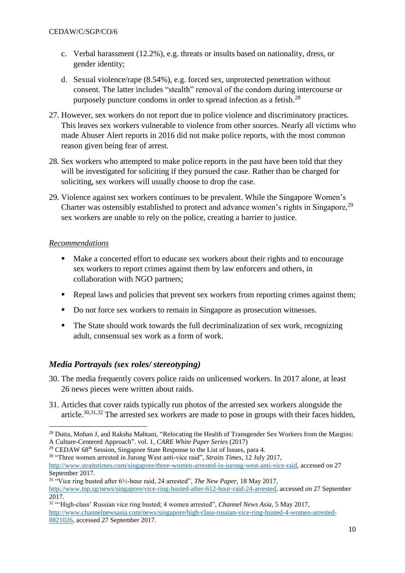- c. Verbal harassment (12.2%), e.g. threats or insults based on nationality, dress, or gender identity;
- d. Sexual violence/rape (8.54%), e.g. forced sex, unprotected penetration without consent. The latter includes "stealth" removal of the condom during intercourse or purposely puncture condoms in order to spread infection as a fetish.<sup>28</sup>
- 27. However, sex workers do not report due to police violence and discriminatory practices. This leaves sex workers vulnerable to violence from other sources. Nearly all victims who made Abuser Alert reports in 2016 did not make police reports, with the most common reason given being fear of arrest.
- 28. Sex workers who attempted to make police reports in the past have been told that they will be investigated for soliciting if they pursued the case. Rather than be charged for soliciting, sex workers will usually choose to drop the case.
- 29. Violence against sex workers continues to be prevalent. While the Singapore Women's Charter was ostensibly established to protect and advance women's rights in Singapore,<sup>29</sup> sex workers are unable to rely on the police, creating a barrier to justice.

#### *Recommendations*

 $\overline{a}$ 

- Make a concerted effort to educate sex workers about their rights and to encourage sex workers to report crimes against them by law enforcers and others, in collaboration with NGO partners;
- Repeal laws and policies that prevent sex workers from reporting crimes against them;
- Do not force sex workers to remain in Singapore as prosecution witnesses.
- The State should work towards the full decriminalization of sex work, recognizing adult, consensual sex work as a form of work.

## <span id="page-9-0"></span>*Media Portrayals (sex roles/ stereotyping)*

- 30. The media frequently covers police raids on unlicensed workers. In 2017 alone, at least 26 news pieces were written about raids.
- 31. Articles that cover raids typically run photos of the arrested sex workers alongside the article.<sup>30,31,32</sup> The arrested sex workers are made to pose in groups with their faces hidden,

<sup>&</sup>lt;sup>28</sup> Dutta, Mohan J, and Raksha Mahtani, "Relocating the Health of Transgender Sex Workers from the Margins: A Culture-Centered Approach". vol. 1, *CARE White Paper Series* (2017)

<sup>&</sup>lt;sup>29</sup> CEDAW 68<sup>th</sup> Session, Singapore State Response to the List of Issues, para 4.

<sup>30</sup> "Three women arrested in Jurong West anti-vice raid", *Straits Times*, 12 July 2017,

[http://www.straitstimes.com/singapore/three-women-arrested-in-jurong-west-anti-vice-raid,](http://www.straitstimes.com/singapore/three-women-arrested-in-jurong-west-anti-vice-raid) accessed on 27 September 2017.

<sup>31</sup> "Vice ring busted after 6½-hour raid, 24 arrested", *The New Paper,* 18 May 2017,

[http://www.tnp.sg/news/singapore/vice-ring-busted-after-612-hour-raid-24-arrested,](http://www.tnp.sg/news/singapore/vice-ring-busted-after-612-hour-raid-24-arrested) accessed on 27 September 2017.

<sup>&</sup>lt;sup>32</sup> "'High-class' Russian vice ring busted; 4 women arrested", *Channel News Asia*, 5 May 2017, [http://www.channelnewsasia.com/news/singapore/high-class-russian-vice-ring-busted-4-women-arrested-](http://www.channelnewsasia.com/news/singapore/high-class-russian-vice-ring-busted-4-women-arrested-8821026)[8821026,](http://www.channelnewsasia.com/news/singapore/high-class-russian-vice-ring-busted-4-women-arrested-8821026) accessed 27 September 2017.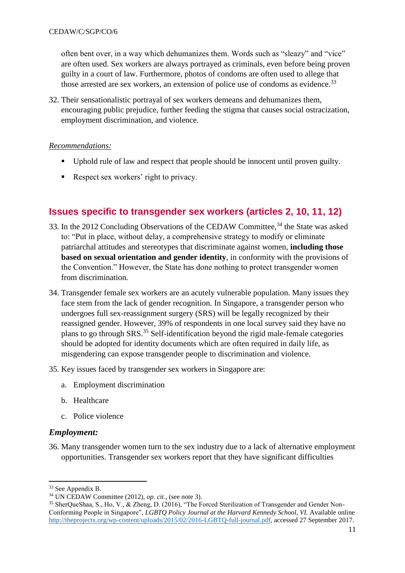often bent over, in a way which dehumanizes them. Words such as "sleazy" and "vice" are often used. Sex workers are always portrayed as criminals, even before being proven guilty in a court of law. Furthermore, photos of condoms are often used to allege that those arrested are sex workers, an extension of police use of condoms as evidence.<sup>33</sup>

32. Their sensationalistic portrayal of sex workers demeans and dehumanizes them, encouraging public prejudice, further feeding the stigma that causes social ostracization, employment discrimination, and violence.

#### *Recommendations:*

- Uphold rule of law and respect that people should be innocent until proven guilty.
- Respect sex workers' right to privacy.

# <span id="page-10-0"></span>**Issues specific to transgender sex workers (articles 2, 10, 11, 12)**

- 33. In the 2012 Concluding Observations of the CEDAW Committee,<sup>34</sup> the State was asked to: "Put in place, without delay, a comprehensive strategy to modify or eliminate patriarchal attitudes and stereotypes that discriminate against women, **including those based on sexual orientation and gender identity**, in conformity with the provisions of the Convention." However, the State has done nothing to protect transgender women from discrimination.
- 34. Transgender female sex workers are an acutely vulnerable population. Many issues they face stem from the lack of gender recognition. In Singapore, a transgender person who undergoes full sex-reassignment surgery (SRS) will be legally recognized by their reassigned gender. However, 39% of respondents in one local survey said they have no plans to go through SRS.<sup>35</sup> Self-identification beyond the rigid male-female categories should be adopted for identity documents which are often required in daily life, as misgendering can expose transgender people to discrimination and violence.
- 35. Key issues faced by transgender sex workers in Singapore are:
	- a. Employment discrimination
	- b. Healthcare
	- c. Police violence

## <span id="page-10-1"></span>*Employment:*

36. Many transgender women turn to the sex industry due to a lack of alternative employment opportunities. Transgender sex workers report that they have significant difficulties

1

<sup>33</sup> See Appendix B.

<sup>34</sup> UN CEDAW Committee (2012), *op. cit*., (see note 3).

<sup>35</sup> SherQueShaa, S., Ho, V., & Zheng, D. (2016), "The Forced Sterilization of Transgender and Gender Non-Conforming People in Singapore", *LGBTQ Policy Journal at the Harvard Kennedy School, VI.* Available online [http://theprojectx.org/wp-content/uploads/2015/02/2016-LGBTQ-full-journal.pdf,](http://theprojectx.org/wp-content/uploads/2015/02/2016-LGBTQ-full-journal.pdf) accessed 27 September 2017.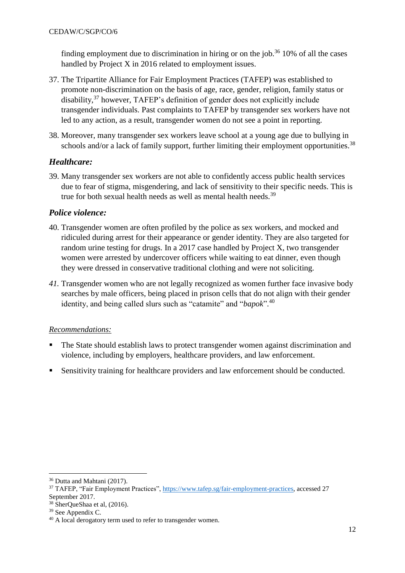finding employment due to discrimination in hiring or on the job.<sup>36</sup> 10% of all the cases handled by Project X in 2016 related to employment issues.

- 37. The Tripartite Alliance for Fair Employment Practices (TAFEP) was established to promote non-discrimination on the basis of age, race, gender, religion, family status or disability,<sup>37</sup> however, TAFEP's definition of gender does not explicitly include transgender individuals. Past complaints to TAFEP by transgender sex workers have not led to any action, as a result, transgender women do not see a point in reporting.
- 38. Moreover, many transgender sex workers leave school at a young age due to bullying in schools and/or a lack of family support, further limiting their employment opportunities.<sup>38</sup>

## <span id="page-11-0"></span>*Healthcare:*

39. Many transgender sex workers are not able to confidently access public health services due to fear of stigma, misgendering, and lack of sensitivity to their specific needs. This is true for both sexual health needs as well as mental health needs.<sup>39</sup>

## <span id="page-11-1"></span>*Police violence:*

- 40. Transgender women are often profiled by the police as sex workers, and mocked and ridiculed during arrest for their appearance or gender identity. They are also targeted for random urine testing for drugs. In a 2017 case handled by Project X, two transgender women were arrested by undercover officers while waiting to eat dinner, even though they were dressed in conservative traditional clothing and were not soliciting.
- *41.* Transgender women who are not legally recognized as women further face invasive body searches by male officers, being placed in prison cells that do not align with their gender identity, and being called slurs such as "catamite" and "*bapok*". 40

## *Recommendations:*

- The State should establish laws to protect transgender women against discrimination and violence, including by employers, healthcare providers, and law enforcement.
- **Sensitivity training for healthcare providers and law enforcement should be conducted.**

<sup>36</sup> Dutta and Mahtani (2017).

<sup>37</sup> TAFEP, "Fair Employment Practices", [https://www.tafep.sg/fair-employment-practices,](https://www.tafep.sg/fair-employment-practices) accessed 27 September 2017.

<sup>38</sup> SherQueShaa et al, (2016).

<sup>&</sup>lt;sup>39</sup> See Appendix C.

<sup>&</sup>lt;sup>40</sup> A local derogatory term used to refer to transgender women.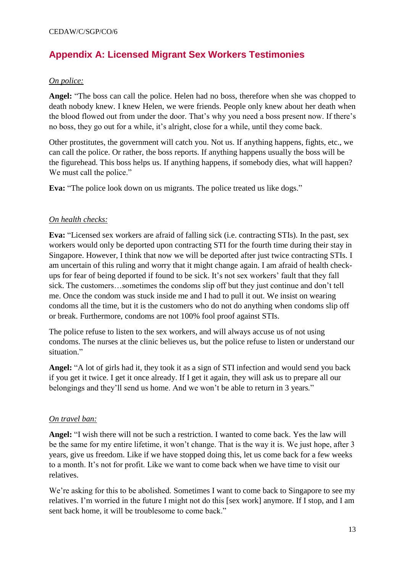# <span id="page-12-0"></span>**Appendix A: Licensed Migrant Sex Workers Testimonies**

#### *On police:*

**Angel:** "The boss can call the police. Helen had no boss, therefore when she was chopped to death nobody knew. I knew Helen, we were friends. People only knew about her death when the blood flowed out from under the door. That's why you need a boss present now. If there's no boss, they go out for a while, it's alright, close for a while, until they come back.

Other prostitutes, the government will catch you. Not us. If anything happens, fights, etc., we can call the police. Or rather, the boss reports. If anything happens usually the boss will be the figurehead. This boss helps us. If anything happens, if somebody dies, what will happen? We must call the police."

**Eva:** "The police look down on us migrants. The police treated us like dogs."

#### *On health checks:*

**Eva:** "Licensed sex workers are afraid of falling sick (i.e. contracting STIs). In the past, sex workers would only be deported upon contracting STI for the fourth time during their stay in Singapore. However, I think that now we will be deported after just twice contracting STIs. I am uncertain of this ruling and worry that it might change again. I am afraid of health checkups for fear of being deported if found to be sick. It's not sex workers' fault that they fall sick. The customers…sometimes the condoms slip off but they just continue and don't tell me. Once the condom was stuck inside me and I had to pull it out. We insist on wearing condoms all the time, but it is the customers who do not do anything when condoms slip off or break. Furthermore, condoms are not 100% fool proof against STIs.

The police refuse to listen to the sex workers, and will always accuse us of not using condoms. The nurses at the clinic believes us, but the police refuse to listen or understand our situation."

**Angel:** "A lot of girls had it, they took it as a sign of STI infection and would send you back if you get it twice. I get it once already. If I get it again, they will ask us to prepare all our belongings and they'll send us home. And we won't be able to return in 3 years*.*"

#### *On travel ban:*

**Angel:** "I wish there will not be such a restriction. I wanted to come back. Yes the law will be the same for my entire lifetime, it won't change. That is the way it is. We just hope, after 3 years, give us freedom. Like if we have stopped doing this, let us come back for a few weeks to a month. It's not for profit. Like we want to come back when we have time to visit our relatives.

We're asking for this to be abolished. Sometimes I want to come back to Singapore to see my relatives. I'm worried in the future I might not do this [sex work] anymore. If I stop, and I am sent back home, it will be troublesome to come back."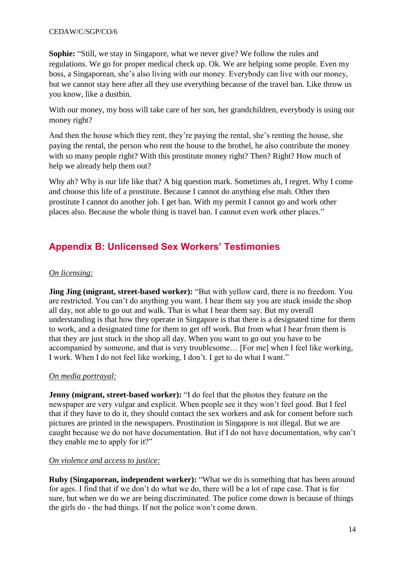**Sophie:** "Still, we stay in Singapore, what we never give? We follow the rules and regulations. We go for proper medical check up. Ok. We are helping some people. Even my boss, a Singaporean, she's also living with our money. Everybody can live with our money, but we cannot stay here after all they use everything because of the travel ban. Like throw us you know, like a dustbin.

With our money, my boss will take care of her son, her grandchildren, everybody is using our money right?

And then the house which they rent, they're paying the rental, she's renting the house, she paying the rental, the person who rent the house to the brothel, he also contribute the money with so many people right? With this prostitute money right? Then? Right? How much of help we already help them out?

Why ah? Why is our life like that? A big question mark. Sometimes ah, I regret. Why I come and choose this life of a prostitute. Because I cannot do anything else mah. Other then prostitute I cannot do another job. I get ban. With my permit I cannot go and work other places also. Because the whole thing is travel ban. I cannot even work other places."

# <span id="page-13-0"></span>**Appendix B: Unlicensed Sex Workers' Testimonies**

## *On licensing:*

**Jing Jing (migrant, street-based worker):** "But with yellow card, there is no freedom. You are restricted. You can't do anything you want. I hear them say you are stuck inside the shop all day, not able to go out and walk. That is what I hear them say. But my overall understanding is that how they operate in Singapore is that there is a designated time for them to work, and a designated time for them to get off work. But from what I hear from them is that they are just stuck in the shop all day. When you want to go out you have to be accompanied by someone, and that is very troublesome… [For me] when I feel like working, I work. When I do not feel like working, I don't. I get to do what I want."

## *On media portrayal:*

**Jenny (migrant, street-based worker):** "I do feel that the photos they feature on the newspaper are very vulgar and explicit. When people see it they won't feel good. But I feel that if they have to do it, they should contact the sex workers and ask for consent before such pictures are printed in the newspapers. Prostitution in Singapore is not illegal. But we are caught because we do not have documentation. But if I do not have documentation, why can't they enable me to apply for it?"

#### *On violence and access to justice:*

**Ruby (Singaporean, independent worker):** "What we do is something that has been around for ages. I find that if we don't do what we do, there will be a lot of rape case. That is for sure, but when we do we are being discriminated. The police come down is because of things the girls do - the bad things. If not the police won't come down.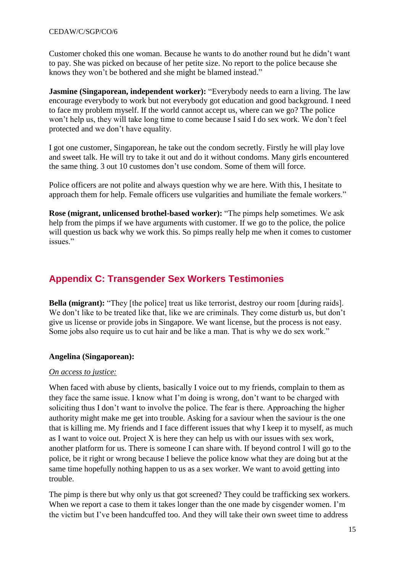Customer choked this one woman. Because he wants to do another round but he didn't want to pay. She was picked on because of her petite size. No report to the police because she knows they won't be bothered and she might be blamed instead."

**Jasmine** (Singaporean, independent worker): "Everybody needs to earn a living. The law encourage everybody to work but not everybody got education and good background. I need to face my problem myself. If the world cannot accept us, where can we go? The police won't help us, they will take long time to come because I said I do sex work. We don't feel protected and we don't have equality.

I got one customer, Singaporean, he take out the condom secretly. Firstly he will play love and sweet talk. He will try to take it out and do it without condoms. Many girls encountered the same thing. 3 out 10 customes don't use condom. Some of them will force.

Police officers are not polite and always question why we are here. With this, I hesitate to approach them for help. Female officers use vulgarities and humiliate the female workers."

**Rose (migrant, unlicensed brothel-based worker):** "The pimps help sometimes. We ask help from the pimps if we have arguments with customer. If we go to the police, the police will question us back why we work this. So pimps really help me when it comes to customer issues."

# <span id="page-14-0"></span>**Appendix C: Transgender Sex Workers Testimonies**

**Bella (migrant):** "They [the police] treat us like terrorist, destroy our room [during raids]. We don't like to be treated like that, like we are criminals. They come disturb us, but don't give us license or provide jobs in Singapore. We want license, but the process is not easy. Some jobs also require us to cut hair and be like a man. That is why we do sex work."

#### **Angelina (Singaporean):**

#### *On access to justice:*

When faced with abuse by clients, basically I voice out to my friends, complain to them as they face the same issue. I know what I'm doing is wrong, don't want to be charged with soliciting thus I don't want to involve the police. The fear is there. Approaching the higher authority might make me get into trouble. Asking for a saviour when the saviour is the one that is killing me. My friends and I face different issues that why I keep it to myself, as much as I want to voice out. Project X is here they can help us with our issues with sex work, another platform for us. There is someone I can share with. If beyond control I will go to the police, be it right or wrong because I believe the police know what they are doing but at the same time hopefully nothing happen to us as a sex worker. We want to avoid getting into trouble.

The pimp is there but why only us that got screened? They could be trafficking sex workers. When we report a case to them it takes longer than the one made by cisgender women. I'm the victim but I've been handcuffed too. And they will take their own sweet time to address